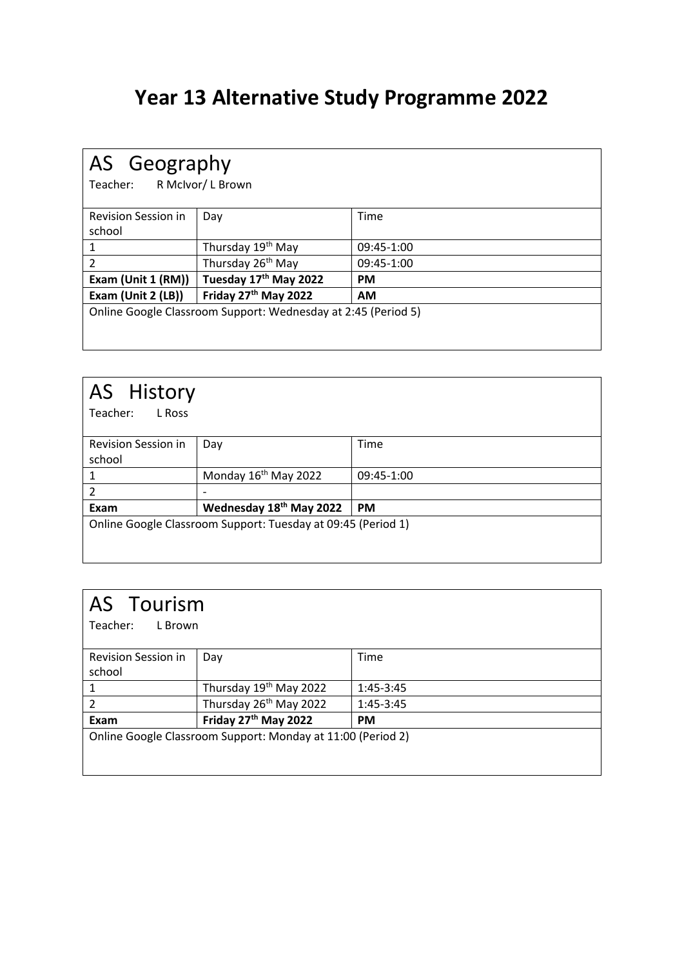### **Year 13 Alternative Study Programme 2022**

| AS Geography<br>R McIvor/L Brown<br>Teacher:                  |                               |            |
|---------------------------------------------------------------|-------------------------------|------------|
| <b>Revision Session in</b>                                    | Day                           | Time       |
| school                                                        |                               |            |
|                                                               | Thursday 19 <sup>th</sup> May | 09:45-1:00 |
| $\overline{\phantom{a}}$                                      | Thursday 26 <sup>th</sup> May | 09:45-1:00 |
| Exam (Unit 1 (RM))                                            | Tuesday 17th May 2022         | <b>PM</b>  |
| Exam (Unit 2 (LB))                                            | Friday 27th May 2022          | <b>AM</b>  |
| Online Google Classroom Support: Wednesday at 2:45 (Period 5) |                               |            |
|                                                               |                               |            |

| AS History<br>Teacher:<br>L Ross     |                                                              |            |
|--------------------------------------|--------------------------------------------------------------|------------|
| <b>Revision Session in</b><br>school | Day                                                          | Time       |
| 1                                    | Monday 16 <sup>th</sup> May 2022                             | 09:45-1:00 |
| $\overline{2}$                       |                                                              |            |
| Exam                                 | Wednesday 18 <sup>th</sup> May 2022                          | <b>PM</b>  |
|                                      | Online Google Classroom Support: Tuesday at 09:45 (Period 1) |            |

#### AS Tourism

Teacher: L Brown

| Revision Session in                                         | Day                                | Time        |
|-------------------------------------------------------------|------------------------------------|-------------|
| school                                                      |                                    |             |
|                                                             | Thursday 19th May 2022             | $1:45-3:45$ |
|                                                             | Thursday 26 <sup>th</sup> May 2022 | $1:45-3:45$ |
| Exam                                                        | Friday 27 <sup>th</sup> May 2022   | <b>PM</b>   |
| Online Google Classroom Support: Monday at 11:00 (Period 2) |                                    |             |
|                                                             |                                    |             |
|                                                             |                                    |             |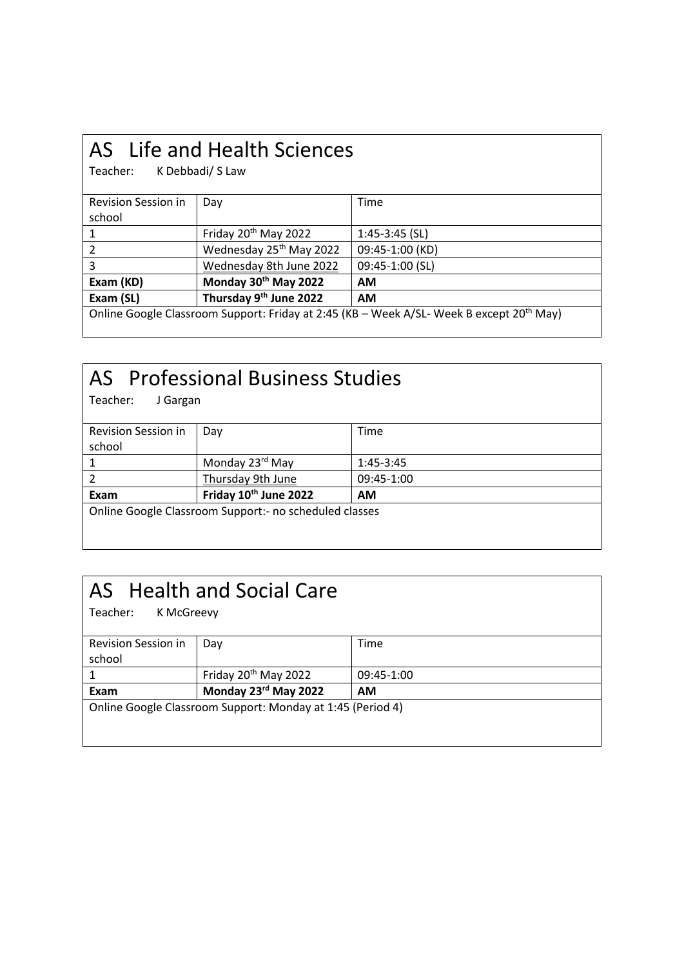## AS Life and Health Sciences

K Debbadi/ S Law

| Revision Session in                                                                                  | Day                                 | Time             |
|------------------------------------------------------------------------------------------------------|-------------------------------------|------------------|
| school                                                                                               |                                     |                  |
|                                                                                                      | Friday 20 <sup>th</sup> May 2022    | $1:45-3:45$ (SL) |
|                                                                                                      | Wednesday 25 <sup>th</sup> May 2022 | 09:45-1:00 (KD)  |
| 3                                                                                                    | Wednesday 8th June 2022             | 09:45-1:00 (SL)  |
| Exam (KD)                                                                                            | Monday 30th May 2022                | <b>AM</b>        |
| Exam (SL)                                                                                            | Thursday 9 <sup>th</sup> June 2022  | <b>AM</b>        |
| Online Google Classroom Support: Friday at 2:45 (KB – Week A/SL- Week B except 20 <sup>th</sup> May) |                                     |                  |

## AS Professional Business Studies

J Gargan

| Revision Session in                                    | Dav                   | Time        |
|--------------------------------------------------------|-----------------------|-------------|
| school                                                 |                       |             |
|                                                        | Monday 23rd May       | $1:45-3:45$ |
|                                                        | Thursday 9th June     | 09:45-1:00  |
| Exam                                                   | Friday 10th June 2022 | <b>AM</b>   |
| Online Google Classroom Support:- no scheduled classes |                       |             |
|                                                        |                       |             |
|                                                        |                       |             |

### AS Health and Social Care

Teacher: K McGreevy Revision Session in school Day Time 1 Friday 20th May 2022 09:45-1:00 **Exam Monday 23rd May 2022 AM** Online Google Classroom Support: Monday at 1:45 (Period 4)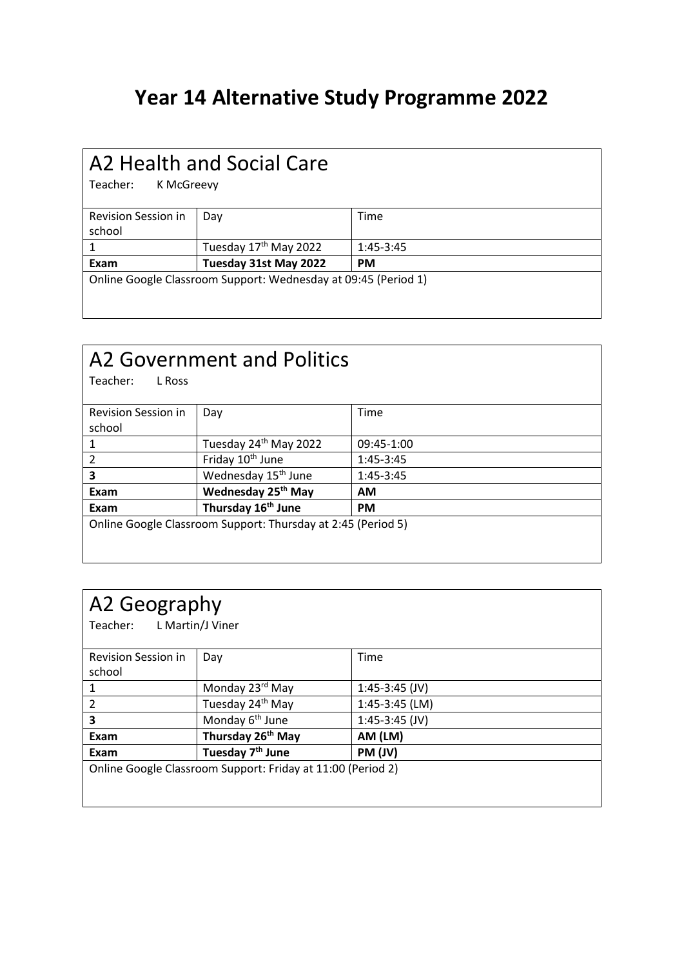#### **Year 14 Alternative Study Programme 2022**

## A2 Health and Social Care

K McGreevy

| Revision Session in                                            | Dav                               | Time        |
|----------------------------------------------------------------|-----------------------------------|-------------|
| school                                                         |                                   |             |
|                                                                | Tuesday 17 <sup>th</sup> May 2022 | $1:45-3:45$ |
| Exam                                                           | Tuesday 31st May 2022             | <b>PM</b>   |
| Online Google Classroom Support: Wednesday at 09:45 (Period 1) |                                   |             |

## A2 Government and Politics<br>Teacher: LRoss

Teacher:

| Revision Session in                                          | Day                             | Time        |
|--------------------------------------------------------------|---------------------------------|-------------|
| school                                                       |                                 |             |
|                                                              | Tuesday 24th May 2022           | 09:45-1:00  |
| $\mathcal{P}$                                                | Friday 10 <sup>th</sup> June    | $1:45-3:45$ |
| 3                                                            | Wednesday 15 <sup>th</sup> June | 1:45-3:45   |
| Exam                                                         | Wednesday 25 <sup>th</sup> May  | <b>AM</b>   |
| Exam                                                         | Thursday 16 <sup>th</sup> June  | <b>PM</b>   |
| Online Google Classroom Support: Thursday at 2:45 (Period 5) |                                 |             |
|                                                              |                                 |             |
|                                                              |                                 |             |

#### A2 Geography

Teacher: L Martin/J Viner

| Revision Session in                                         | Day                           | Time             |
|-------------------------------------------------------------|-------------------------------|------------------|
| school                                                      |                               |                  |
|                                                             | Monday 23rd May               | $1:45-3:45$ (JV) |
| 2                                                           | Tuesday 24 <sup>th</sup> May  | $1:45-3:45$ (LM) |
| 3                                                           | Monday 6 <sup>th</sup> June   | $1:45-3:45$ (JV) |
| Exam                                                        | Thursday 26 <sup>th</sup> May | AM (LM)          |
| Exam                                                        | Tuesday 7 <sup>th</sup> June  | PM (JV)          |
| Online Google Classroom Support: Friday at 11:00 (Period 2) |                               |                  |
|                                                             |                               |                  |
|                                                             |                               |                  |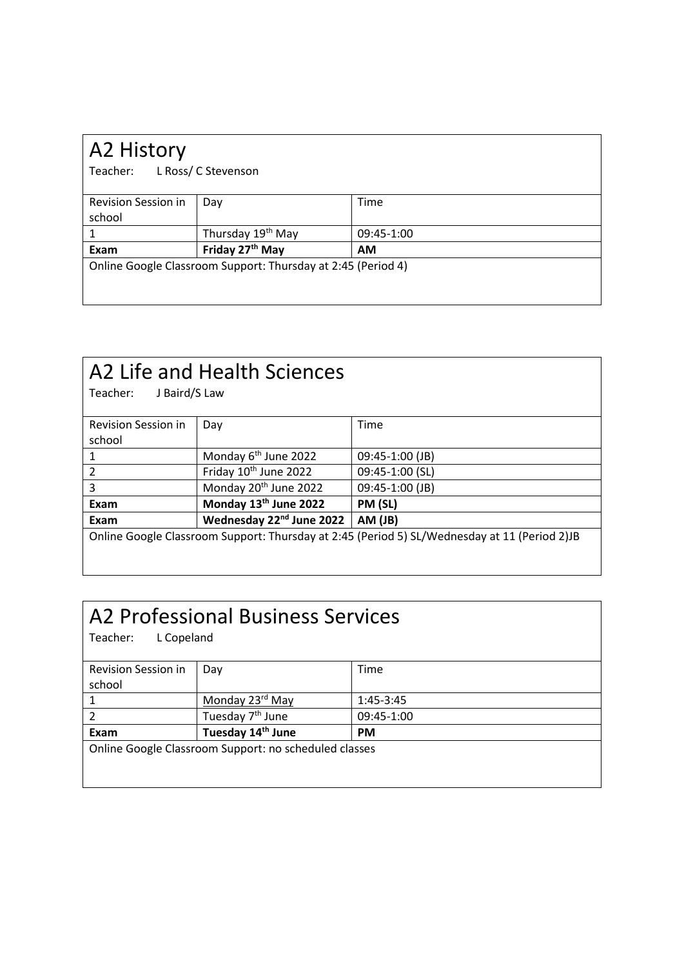| A2 History                                                   |                               |            |
|--------------------------------------------------------------|-------------------------------|------------|
| L Ross/ C Stevenson<br>Teacher:                              |                               |            |
| <b>Revision Session in</b>                                   | Day                           | Time       |
| school                                                       |                               |            |
| 1                                                            | Thursday 19 <sup>th</sup> May | 09:45-1:00 |
| Exam                                                         | Friday 27th May               | <b>AM</b>  |
| Online Google Classroom Support: Thursday at 2:45 (Period 4) |                               |            |
|                                                              |                               |            |
|                                                              |                               |            |

| A2 Life and Health Sciences<br>Teacher:<br>J Baird/S Law                                     |                                      |                 |
|----------------------------------------------------------------------------------------------|--------------------------------------|-----------------|
| <b>Revision Session in</b>                                                                   | Day                                  | Time            |
| school                                                                                       |                                      |                 |
| 1                                                                                            | Monday 6 <sup>th</sup> June 2022     | 09:45-1:00 (JB) |
| 2                                                                                            | Friday 10 <sup>th</sup> June 2022    | 09:45-1:00 (SL) |
| 3                                                                                            | Monday 20 <sup>th</sup> June 2022    | 09:45-1:00 (JB) |
| Exam                                                                                         | Monday 13th June 2022                | PM (SL)         |
| Exam                                                                                         | Wednesday 22 <sup>nd</sup> June 2022 | AM (JB)         |
| Online Google Classroom Support: Thursday at 2:45 (Period 5) SL/Wednesday at 11 (Period 2)JB |                                      |                 |

### A2 Professional Business Services

Teacher: L Copeland

| Revision Session in | Day                                                   | Time        |
|---------------------|-------------------------------------------------------|-------------|
|                     |                                                       |             |
| school              |                                                       |             |
|                     | Monday 23rd May                                       | $1:45-3:45$ |
|                     | Tuesday 7 <sup>th</sup> June                          | 09:45-1:00  |
|                     |                                                       |             |
| Exam                | Tuesday 14 <sup>th</sup> June                         | <b>PM</b>   |
|                     | Online Google Classroom Support: no scheduled classes |             |
|                     |                                                       |             |
|                     |                                                       |             |